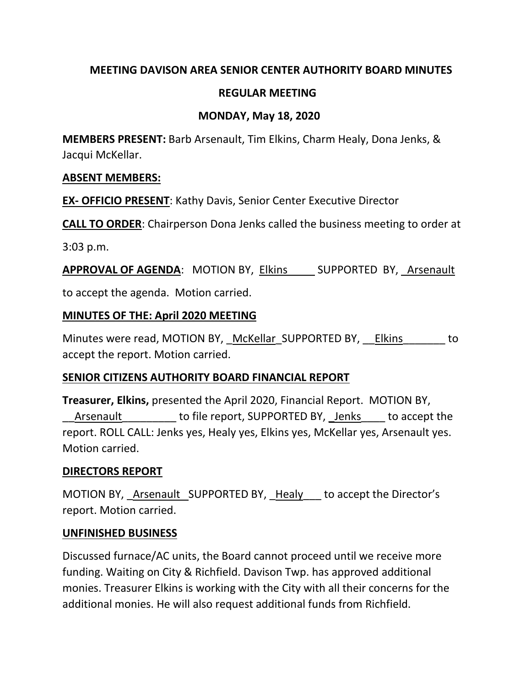## **MEETING DAVISON AREA SENIOR CENTER AUTHORITY BOARD MINUTES**

## **REGULAR MEETING**

## **MONDAY, May 18, 2020**

**MEMBERS PRESENT:** Barb Arsenault, Tim Elkins, Charm Healy, Dona Jenks, & Jacqui McKellar.

#### **ABSENT MEMBERS:**

**EX- OFFICIO PRESENT**: Kathy Davis, Senior Center Executive Director

**CALL TO ORDER**: Chairperson Dona Jenks called the business meeting to order at

3:03 p.m.

**APPROVAL OF AGENDA:** MOTION BY, Elkins SUPPORTED BY, Arsenault

to accept the agenda. Motion carried.

#### **MINUTES OF THE: April 2020 MEETING**

Minutes were read, MOTION BY, McKellar SUPPORTED BY, Elkins to accept the report. Motion carried.

## **SENIOR CITIZENS AUTHORITY BOARD FINANCIAL REPORT**

**Treasurer, Elkins,** presented the April 2020, Financial Report. MOTION BY, Arsenault to file report, SUPPORTED BY, Jenks to accept the report. ROLL CALL: Jenks yes, Healy yes, Elkins yes, McKellar yes, Arsenault yes. Motion carried.

## **DIRECTORS REPORT**

MOTION BY, Arsenault SUPPORTED BY, Healy to accept the Director's report. Motion carried.

## **UNFINISHED BUSINESS**

Discussed furnace/AC units, the Board cannot proceed until we receive more funding. Waiting on City & Richfield. Davison Twp. has approved additional monies. Treasurer Elkins is working with the City with all their concerns for the additional monies. He will also request additional funds from Richfield.